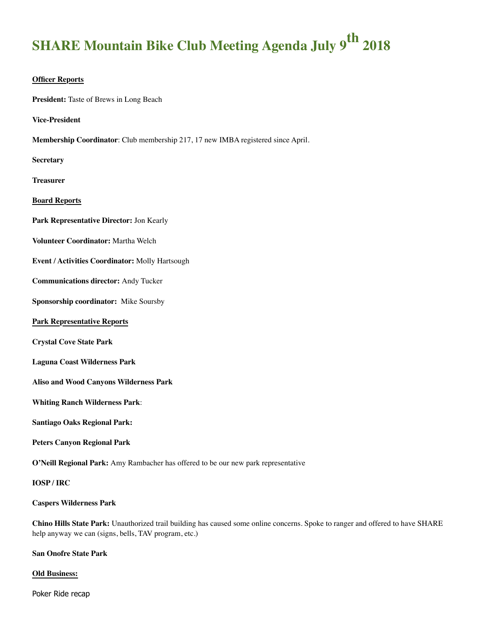# **SHARE Mountain Bike Club Meeting Agenda July 9<sup>th</sup> 2018**

#### **Officer Reports**

**President:** Taste of Brews in Long Beach

**Vice-President**

**Membership Coordinator**: Club membership 217, 17 new IMBA registered since April.

**Secretary** 

**Treasurer** 

**Board Reports**

**Park Representative Director:** Jon Kearly

**Volunteer Coordinator:** Martha Welch

**Event / Activities Coordinator:** Molly Hartsough

**Communications director:** Andy Tucker

**Sponsorship coordinator:** Mike Soursby

#### **Park Representative Reports**

**Crystal Cove State Park**

#### **Laguna Coast Wilderness Park**

**Aliso and Wood Canyons Wilderness Park** 

**Whiting Ranch Wilderness Park**:

**Santiago Oaks Regional Park:** 

**Peters Canyon Regional Park**

**O'Neill Regional Park:** Amy Rambacher has offered to be our new park representative

#### **IOSP / IRC**

#### **Caspers Wilderness Park**

**Chino Hills State Park:** Unauthorized trail building has caused some online concerns. Spoke to ranger and offered to have SHARE help anyway we can (signs, bells, TAV program, etc.)

#### **San Onofre State Park**

#### **Old Business:**

Poker Ride recap